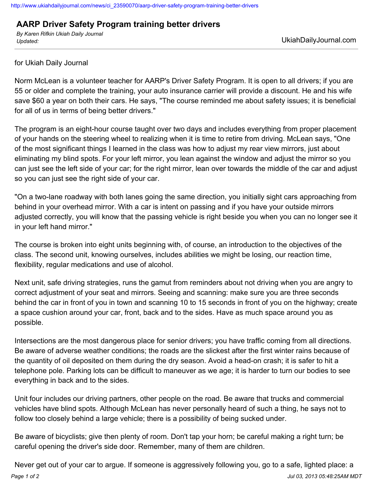## **AARP Driver Safety Program training better drivers**

*By Karen Rifkin Ukiah Daily Journal Updated:* UkiahDailyJournal.com

for Ukiah Daily Journal

Norm McLean is a volunteer teacher for AARP's Driver Safety Program. It is open to all drivers; if you are 55 or older and complete the training, your auto insurance carrier will provide a discount. He and his wife save \$60 a year on both their cars. He says, "The course reminded me about safety issues; it is beneficial for all of us in terms of being better drivers."

The program is an eight-hour course taught over two days and includes everything from proper placement of your hands on the steering wheel to realizing when it is time to retire from driving. McLean says, "One of the most significant things I learned in the class was how to adjust my rear view mirrors, just about eliminating my blind spots. For your left mirror, you lean against the window and adjust the mirror so you can just see the left side of your car; for the right mirror, lean over towards the middle of the car and adjust so you can just see the right side of your car.

"On a two-lane roadway with both lanes going the same direction, you initially sight cars approaching from behind in your overhead mirror. With a car is intent on passing and if you have your outside mirrors adjusted correctly, you will know that the passing vehicle is right beside you when you can no longer see it in your left hand mirror."

The course is broken into eight units beginning with, of course, an introduction to the objectives of the class. The second unit, knowing ourselves, includes abilities we might be losing, our reaction time, flexibility, regular medications and use of alcohol.

Next unit, safe driving strategies, runs the gamut from reminders about not driving when you are angry to correct adjustment of your seat and mirrors. Seeing and scanning: make sure you are three seconds behind the car in front of you in town and scanning 10 to 15 seconds in front of you on the highway; create a space cushion around your car, front, back and to the sides. Have as much space around you as possible.

Intersections are the most dangerous place for senior drivers; you have traffic coming from all directions. Be aware of adverse weather conditions; the roads are the slickest after the first winter rains because of the quantity of oil deposited on them during the dry season. Avoid a head-on crash; it is safer to hit a telephone pole. Parking lots can be difficult to maneuver as we age; it is harder to turn our bodies to see everything in back and to the sides.

Unit four includes our driving partners, other people on the road. Be aware that trucks and commercial vehicles have blind spots. Although McLean has never personally heard of such a thing, he says not to follow too closely behind a large vehicle; there is a possibility of being sucked under.

Be aware of bicyclists; give then plenty of room. Don't tap your horn; be careful making a right turn; be careful opening the driver's side door. Remember, many of them are children.

*Page 1 of 2 Jul 03, 2013 05:48:25AM MDT* Never get out of your car to argue. If someone is aggressively following you, go to a safe, lighted place: a